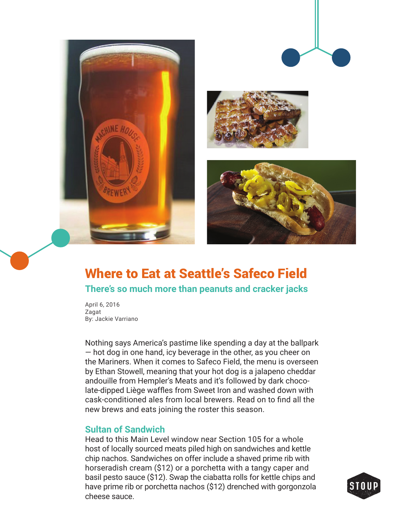

# Where to Eat at Seattle's Safeco Field **There's so much more than peanuts and cracker jacks**

April 6, 2016 Zagat By: Jackie Varriano

Nothing says America's pastime like spending a day at the ballpark — hot dog in one hand, icy beverage in the other, as you cheer on the Mariners. When it comes to Safeco Field, the menu is overseen by Ethan Stowell, meaning that your hot dog is a jalapeno cheddar andouille from Hempler's Meats and it's followed by dark chocolate-dipped Liège waffles from Sweet Iron and washed down with cask-conditioned ales from local brewers. Read on to find all the new brews and eats joining the roster this season.

#### **Sultan of Sandwich**

Head to this Main Level window near Section 105 for a whole host of locally sourced meats piled high on sandwiches and kettle chip nachos. Sandwiches on offer include a shaved prime rib with horseradish cream (\$12) or a porchetta with a tangy caper and basil pesto sauce (\$12). Swap the ciabatta rolls for kettle chips and have prime rib or porchetta nachos (\$12) drenched with gorgonzola cheese sauce.